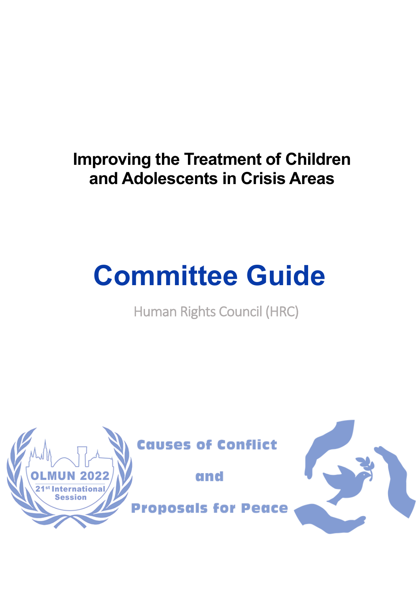# **Improving the Treatment of Children and Adolescents in Crisis Areas**

# **Committee Guide**

Human Rights Council (HRC)

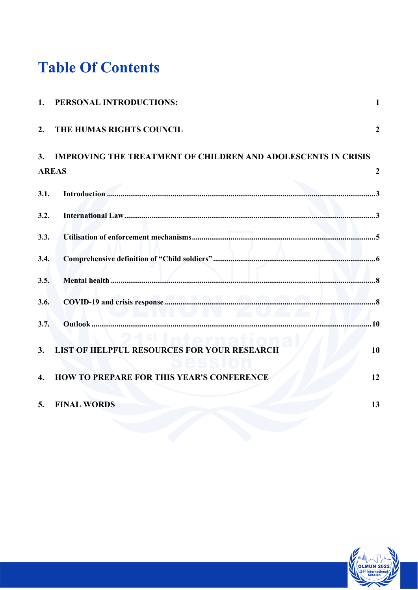# **Table Of Contents**

| 1.   | PERSONAL INTRODUCTIONS:                                              | $\mathbf{1}$   |
|------|----------------------------------------------------------------------|----------------|
| 2.   | THE HUMAS RIGHTS COUNCIL                                             | $\overline{2}$ |
| 3.   | <b>IMPROVING THE TREATMENT OF CHILDREN AND ADOLESCENTS IN CRISIS</b> |                |
|      | <b>AREAS</b>                                                         | $\overline{2}$ |
| 3.1. |                                                                      |                |
| 3.2. |                                                                      |                |
| 3.3. |                                                                      |                |
| 3.4. |                                                                      |                |
| 3.5. |                                                                      |                |
| 3.6. | $\blacksquare$ ives the $\blacktriangle$ we $\blacktriangle$         |                |
| 3.7. |                                                                      |                |
| 3.   | <b>LIST OF HELPFUL RESOURCES FOR YOUR RESEARCH</b>                   | 10             |
| 4.   | <b>HOW TO PREPARE FOR THIS YEAR'S CONFERENCE</b>                     | 12             |
| 5.   | <b>FINAL WORDS</b>                                                   | 13             |
|      |                                                                      |                |

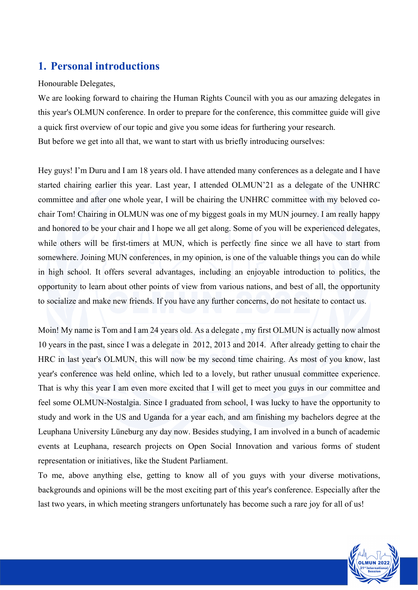## **1. Personal introductions**

#### Honourable Delegates,

We are looking forward to chairing the Human Rights Council with you as our amazing delegates in this year's OLMUN conference. In order to prepare for the conference, this committee guide will give a quick first overview of our topic and give you some ideas for furthering your research. But before we get into all that, we want to start with us briefly introducing ourselves:

Hey guys! I'm Duru and I am 18 years old. I have attended many conferences as a delegate and I have started chairing earlier this year. Last year, I attended OLMUN'21 as a delegate of the UNHRC committee and after one whole year, I will be chairing the UNHRC committee with my beloved cochair Tom! Chairing in OLMUN was one of my biggest goals in my MUN journey. I am really happy and honored to be your chair and I hope we all get along. Some of you will be experienced delegates, while others will be first-timers at MUN, which is perfectly fine since we all have to start from somewhere. Joining MUN conferences, in my opinion, is one of the valuable things you can do while in high school. It offers several advantages, including an enjoyable introduction to politics, the opportunity to learn about other points of view from various nations, and best of all, the opportunity to socialize and make new friends. If you have any further concerns, do not hesitate to contact us.

Moin! My name is Tom and I am 24 years old. As a delegate , my first OLMUN is actually now almost 10 years in the past, since I was a delegate in 2012, 2013 and 2014. After already getting to chair the HRC in last year's OLMUN, this will now be my second time chairing. As most of you know, last year's conference was held online, which led to a lovely, but rather unusual committee experience. That is why this year I am even more excited that I will get to meet you guys in our committee and feel some OLMUN-Nostalgia. Since I graduated from school, I was lucky to have the opportunity to study and work in the US and Uganda for a year each, and am finishing my bachelors degree at the Leuphana University Lüneburg any day now. Besides studying, I am involved in a bunch of academic events at Leuphana, research projects on Open Social Innovation and various forms of student representation or initiatives, like the Student Parliament.

To me, above anything else, getting to know all of you guys with your diverse motivations, backgrounds and opinions will be the most exciting part of this year's conference. Especially after the last two years, in which meeting strangers unfortunately has become such a rare joy for all of us!

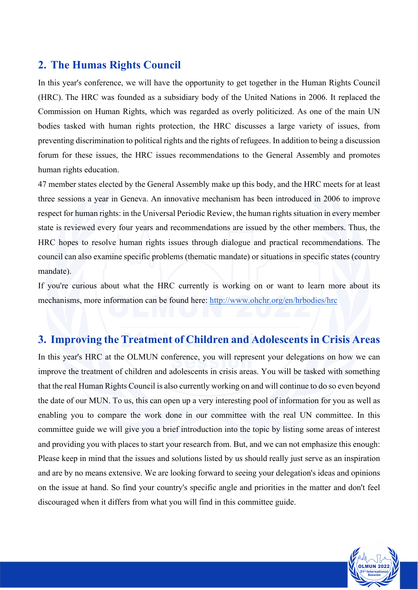## **2. The Humas Rights Council**

In this year's conference, we will have the opportunity to get together in the Human Rights Council (HRC). The HRC was founded as a subsidiary body of the United Nations in 2006. It replaced the Commission on Human Rights, which was regarded as overly politicized. As one of the main UN bodies tasked with human rights protection, the HRC discusses a large variety of issues, from preventing discrimination to political rights and the rights of refugees. In addition to being a discussion forum for these issues, the HRC issues recommendations to the General Assembly and promotes human rights education.

47 member states elected by the General Assembly make up this body, and the HRC meets for at least three sessions a year in Geneva. An innovative mechanism has been introduced in 2006 to improve respect for human rights: in the Universal Periodic Review, the human rights situation in every member state is reviewed every four years and recommendations are issued by the other members. Thus, the HRC hopes to resolve human rights issues through dialogue and practical recommendations. The council can also examine specific problems (thematic mandate) or situations in specific states (country mandate).

If you're curious about what the HRC currently is working on or want to learn more about its mechanisms, more information can be found here: http://www.ohchr.org/en/hrbodies/hrc

## **3. Improving the Treatment of Children and Adolescents in Crisis Areas**

In this year's HRC at the OLMUN conference, you will represent your delegations on how we can improve the treatment of children and adolescents in crisis areas. You will be tasked with something that the real Human Rights Council is also currently working on and will continue to do so even beyond the date of our MUN. To us, this can open up a very interesting pool of information for you as well as enabling you to compare the work done in our committee with the real UN committee. In this committee guide we will give you a brief introduction into the topic by listing some areas of interest and providing you with places to start your research from. But, and we can not emphasize this enough: Please keep in mind that the issues and solutions listed by us should really just serve as an inspiration and are by no means extensive. We are looking forward to seeing your delegation's ideas and opinions on the issue at hand. So find your country's specific angle and priorities in the matter and don't feel discouraged when it differs from what you will find in this committee guide.

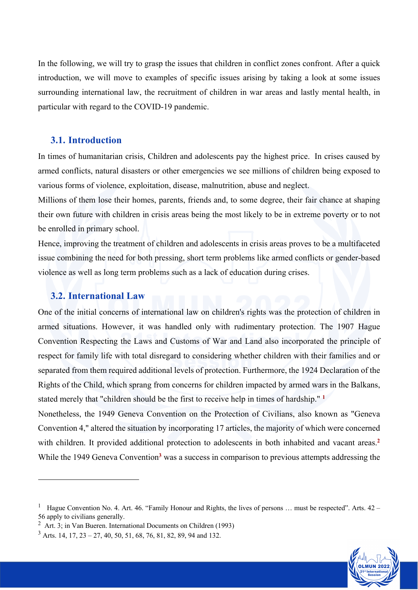In the following, we will try to grasp the issues that children in conflict zones confront. After a quick introduction, we will move to examples of specific issues arising by taking a look at some issues surrounding international law, the recruitment of children in war areas and lastly mental health, in particular with regard to the COVID-19 pandemic.

#### **3.1. Introduction**

In times of humanitarian crisis, Children and adolescents pay the highest price. In crises caused by armed conflicts, natural disasters or other emergencies we see millions of children being exposed to various forms of violence, exploitation, disease, malnutrition, abuse and neglect.

Millions of them lose their homes, parents, friends and, to some degree, their fair chance at shaping their own future with children in crisis areas being the most likely to be in extreme poverty or to not be enrolled in primary school.

Hence, improving the treatment of children and adolescents in crisis areas proves to be a multifaceted issue combining the need for both pressing, short term problems like armed conflicts or gender-based violence as well as long term problems such as a lack of education during crises.

#### **3.2. International Law**

One of the initial concerns of international law on children's rights was the protection of children in armed situations. However, it was handled only with rudimentary protection. The 1907 Hague Convention Respecting the Laws and Customs of War and Land also incorporated the principle of respect for family life with total disregard to considering whether children with their families and or separated from them required additional levels of protection. Furthermore, the 1924 Declaration of the Rights of the Child, which sprang from concerns for children impacted by armed wars in the Balkans, stated merely that "children should be the first to receive help in times of hardship." **<sup>1</sup>**

Nonetheless, the 1949 Geneva Convention on the Protection of Civilians, also known as "Geneva Convention 4," altered the situation by incorporating 17 articles, the majority of which were concerned with children. It provided additional protection to adolescents in both inhabited and vacant areas.<sup>2</sup> While the 1949 Geneva Convention<sup>3</sup> was a success in comparison to previous attempts addressing the



Hague Convention No. 4. Art. 46. "Family Honour and Rights, the lives of persons ... must be respected". Arts. 42 – 56 apply to civilians generally.

<sup>2</sup> Art. 3; in Van Bueren. International Documents on Children (1993)

 $3$  Arts, 14, 17, 23 – 27, 40, 50, 51, 68, 76, 81, 82, 89, 94 and 132.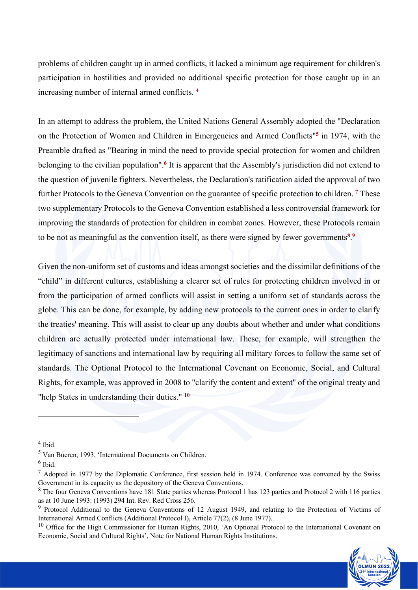problems of children caught up in armed conflicts, it lacked a minimum age requirement for children's participation in hostilities and provided no additional specific protection for those caught up in an increasing number of internal armed conflicts. **<sup>4</sup>**

In an attempt to address the problem, the United Nations General Assembly adopted the "Declaration on the Protection of Women and Children in Emergencies and Armed Conflicts"**<sup>5</sup>** in 1974, with the Preamble drafted as "Bearing in mind the need to provide special protection for women and children belonging to the civilian population".**<sup>6</sup>** It is apparent that the Assembly's jurisdiction did not extend to the question of juvenile fighters. Nevertheless, the Declaration's ratification aided the approval of two further Protocols to the Geneva Convention on the guarantee of specific protection to children. **<sup>7</sup>** These two supplementary Protocols to the Geneva Convention established a less controversial framework for improving the standards of protection for children in combat zones. However, these Protocols remain to be not as meaningful as the convention itself, as there were signed by fewer governments<sup>8</sup>.<sup>9</sup>

Given the non-uniform set of customs and ideas amongst societies and the dissimilar definitions of the "child" in different cultures, establishing a clearer set of rules for protecting children involved in or from the participation of armed conflicts will assist in setting a uniform set of standards across the globe. This can be done, for example, by adding new protocols to the current ones in order to clarify the treaties' meaning. This will assist to clear up any doubts about whether and under what conditions children are actually protected under international law. These, for example, will strengthen the legitimacy of sanctions and international law by requiring all military forces to follow the same set of standards. The Optional Protocol to the International Covenant on Economic, Social, and Cultural Rights, for example, was approved in 2008 to "clarify the content and extent" of the original treaty and "help States in understanding their duties." **<sup>10</sup>**

<sup>&</sup>lt;sup>10</sup> Office for the High Commissioner for Human Rights, 2010, 'An Optional Protocol to the International Covenant on Economic, Social and Cultural Rights', Note for National Human Rights Institutions.



 $<sup>4</sup>$  Ibid.</sup>

<sup>5</sup> Van Bueren, 1993, 'International Documents on Children.

<sup>6</sup> Ibid.

 $<sup>7</sup>$  Adopted in 1977 by the Diplomatic Conference, first session held in 1974. Conference was convened by the Swiss</sup> Government in its capacity as the depository of the Geneva Conventions.

<sup>&</sup>lt;sup>8</sup> The four Geneva Conventions have 181 State parties whereas Protocol 1 has 123 parties and Protocol 2 with 116 parties as at 10 June 1993: (1993) 294 Int. Rev. Red Cross 256.

<sup>&</sup>lt;sup>9</sup> Protocol Additional to the Geneva Conventions of 12 August 1949, and relating to the Protection of Victims of International Armed Conflicts (Additional Protocol I), Article 77(2), (8 June 1977).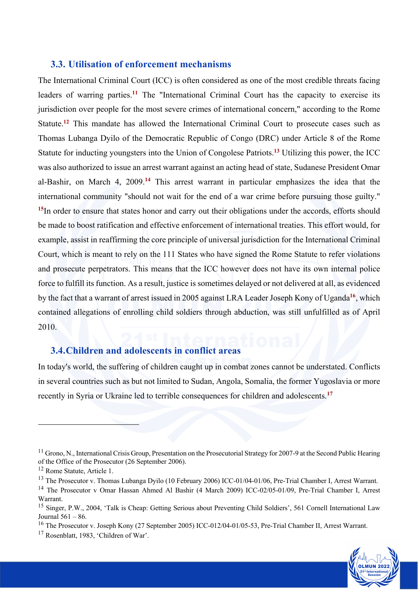#### **3.3. Utilisation of enforcement mechanisms**

The International Criminal Court (ICC) is often considered as one of the most credible threats facing leaders of warring parties.**<sup>11</sup>** The "International Criminal Court has the capacity to exercise its jurisdiction over people for the most severe crimes of international concern," according to the Rome Statute.**<sup>12</sup>** This mandate has allowed the International Criminal Court to prosecute cases such as Thomas Lubanga Dyilo of the Democratic Republic of Congo (DRC) under Article 8 of the Rome Statute for inducting youngsters into the Union of Congolese Patriots.**<sup>13</sup>** Utilizing this power, the ICC was also authorized to issue an arrest warrant against an acting head of state, Sudanese President Omar al-Bashir, on March 4, 2009.**<sup>14</sup>** This arrest warrant in particular emphasizes the idea that the international community "should not wait for the end of a war crime before pursuing those guilty." <sup>15</sup>In order to ensure that states honor and carry out their obligations under the accords, efforts should be made to boost ratification and effective enforcement of international treaties. This effort would, for example, assist in reaffirming the core principle of universal jurisdiction for the International Criminal Court, which is meant to rely on the 111 States who have signed the Rome Statute to refer violations and prosecute perpetrators. This means that the ICC however does not have its own internal police force to fulfill its function. As a result, justice is sometimes delayed or not delivered at all, as evidenced by the fact that a warrant of arrest issued in 2005 against LRA Leader Joseph Kony of Uganda**<sup>16</sup>**, which contained allegations of enrolling child soldiers through abduction, was still unfulfilled as of April 2010.

#### **3.4.Children and adolescents in conflict areas**

In today's world, the suffering of children caught up in combat zones cannot be understated. Conflicts in several countries such as but not limited to Sudan, Angola, Somalia, the former Yugoslavia or more recently in Syria or Ukraine led to terrible consequences for children and adolescents.**<sup>17</sup>**



 $11$  Grono, N., International Crisis Group, Presentation on the Prosecutorial Strategy for 2007-9 at the Second Public Hearing of the Office of the Prosecutor (26 September 2006).

<sup>&</sup>lt;sup>12</sup> Rome Statute, Article 1.

<sup>&</sup>lt;sup>13</sup> The Prosecutor v. Thomas Lubanga Dyilo (10 February 2006) ICC-01/04-01/06, Pre-Trial Chamber I, Arrest Warrant.

<sup>&</sup>lt;sup>14</sup> The Prosecutor v Omar Hassan Ahmed Al Bashir (4 March 2009) ICC-02/05-01/09, Pre-Trial Chamber I, Arrest Warrant.

<sup>&</sup>lt;sup>15</sup> Singer, P.W., 2004, 'Talk is Cheap: Getting Serious about Preventing Child Soldiers', 561 Cornell International Law Journal 561 – 86.

<sup>&</sup>lt;sup>16</sup> The Prosecutor v. Joseph Kony (27 September 2005) ICC-012/04-01/05-53, Pre-Trial Chamber II, Arrest Warrant.

<sup>17</sup> Rosenblatt, 1983, 'Children of War'.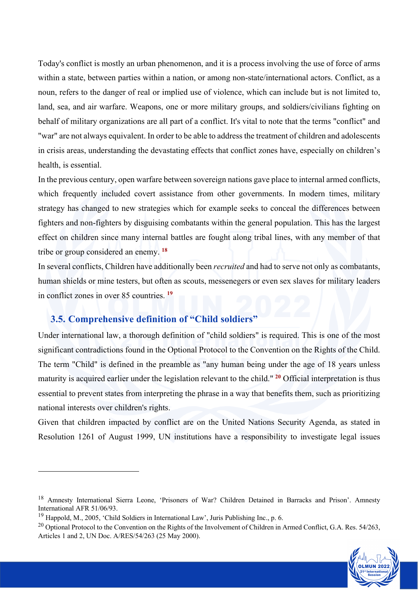Today's conflict is mostly an urban phenomenon, and it is a process involving the use of force of arms within a state, between parties within a nation, or among non-state/international actors. Conflict, as a noun, refers to the danger of real or implied use of violence, which can include but is not limited to, land, sea, and air warfare. Weapons, one or more military groups, and soldiers/civilians fighting on behalf of military organizations are all part of a conflict. It's vital to note that the terms "conflict" and "war" are not always equivalent. In order to be able to address the treatment of children and adolescents in crisis areas, understanding the devastating effects that conflict zones have, especially on children's health, is essential.

In the previous century, open warfare between sovereign nations gave place to internal armed conflicts, which frequently included covert assistance from other governments. In modern times, military strategy has changed to new strategies which for example seeks to conceal the differences between fighters and non-fighters by disguising combatants within the general population. This has the largest effect on children since many internal battles are fought along tribal lines, with any member of that tribe or group considered an enemy. **<sup>18</sup>**

In several conflicts, Children have additionally been *recruited* and had to serve not only as combatants, human shields or mine testers, but often as scouts, messenegers or even sex slaves for military leaders in conflict zones in over 85 countries. **<sup>19</sup>**

#### **3.5. Comprehensive definition of "Child soldiers"**

Under international law, a thorough definition of "child soldiers" is required. This is one of the most significant contradictions found in the Optional Protocol to the Convention on the Rights of the Child. The term "Child" is defined in the preamble as "any human being under the age of 18 years unless maturity is acquired earlier under the legislation relevant to the child." **<sup>20</sup>** Official interpretation is thus essential to prevent states from interpreting the phrase in a way that benefits them, such as prioritizing national interests over children's rights.

Given that children impacted by conflict are on the United Nations Security Agenda, as stated in Resolution 1261 of August 1999, UN institutions have a responsibility to investigate legal issues

 $^{20}$  Optional Protocol to the Convention on the Rights of the Involvement of Children in Armed Conflict, G.A. Res. 54/263, Articles 1 and 2, UN Doc. A/RES/54/263 (25 May 2000).



<sup>&</sup>lt;sup>18</sup> Amnesty International Sierra Leone, 'Prisoners of War? Children Detained in Barracks and Prison'. Amnesty International AFR 51/06/93.

<sup>&</sup>lt;sup>19</sup> Happold, M., 2005, 'Child Soldiers in International Law', Juris Publishing Inc., p. 6.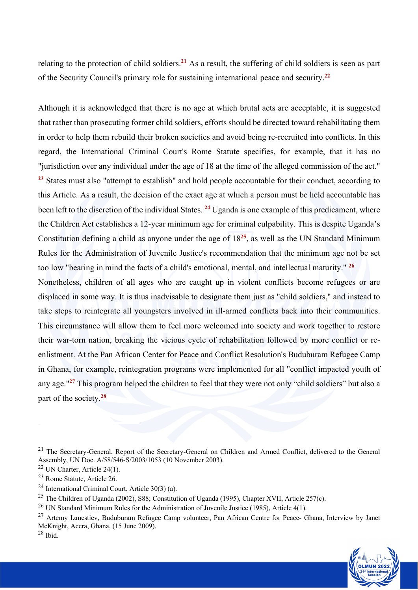relating to the protection of child soldiers.**<sup>21</sup>** As a result, the suffering of child soldiers is seen as part of the Security Council's primary role for sustaining international peace and security.**<sup>22</sup>**

Although it is acknowledged that there is no age at which brutal acts are acceptable, it is suggested that rather than prosecuting former child soldiers, efforts should be directed toward rehabilitating them in order to help them rebuild their broken societies and avoid being re-recruited into conflicts. In this regard, the International Criminal Court's Rome Statute specifies, for example, that it has no "jurisdiction over any individual under the age of 18 at the time of the alleged commission of the act." **<sup>23</sup>** States must also "attempt to establish" and hold people accountable for their conduct, according to this Article. As a result, the decision of the exact age at which a person must be held accountable has been left to the discretion of the individual States. **<sup>24</sup>** Uganda is one example of this predicament, where the Children Act establishes a 12-year minimum age for criminal culpability. This is despite Uganda's Constitution defining a child as anyone under the age of 18**<sup>25</sup>**, as well as the UN Standard Minimum Rules for the Administration of Juvenile Justice's recommendation that the minimum age not be set too low "bearing in mind the facts of a child's emotional, mental, and intellectual maturity." **<sup>26</sup>**

Nonetheless, children of all ages who are caught up in violent conflicts become refugees or are displaced in some way. It is thus inadvisable to designate them just as "child soldiers," and instead to take steps to reintegrate all youngsters involved in ill-armed conflicts back into their communities. This circumstance will allow them to feel more welcomed into society and work together to restore their war-torn nation, breaking the vicious cycle of rehabilitation followed by more conflict or reenlistment. At the Pan African Center for Peace and Conflict Resolution's Buduburam Refugee Camp in Ghana, for example, reintegration programs were implemented for all "conflict impacted youth of any age."**<sup>27</sup>** This program helped the children to feel that they were not only "child soldiers" but also a part of the society.**<sup>28</sup>**

<sup>&</sup>lt;sup>27</sup> Artemy Izmestiev, Buduburam Refugee Camp volunteer, Pan African Centre for Peace- Ghana, Interview by Janet McKnight, Accra, Ghana, (15 June 2009). <sup>28</sup> Ibid.



<sup>&</sup>lt;sup>21</sup> The Secretary-General, Report of the Secretary-General on Children and Armed Conflict, delivered to the General Assembly, UN Doc. A/58/546-S/2003/1053 (10 November 2003).

<sup>22</sup> UN Charter, Article 24(1).

<sup>23</sup> Rome Statute, Article 26.

<sup>24</sup> International Criminal Court, Article 30(3) (a).

<sup>&</sup>lt;sup>25</sup> The Children of Uganda (2002), S88; Constitution of Uganda (1995), Chapter XVII, Article 257(c).

<sup>26</sup> UN Standard Minimum Rules for the Administration of Juvenile Justice (1985), Article 4(1).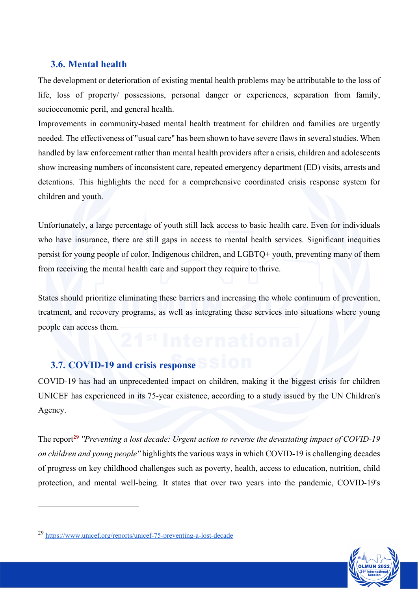#### **3.6. Mental health**

The development or deterioration of existing mental health problems may be attributable to the loss of life, loss of property/ possessions, personal danger or experiences, separation from family, socioeconomic peril, and general health.

Improvements in community-based mental health treatment for children and families are urgently needed. The effectiveness of "usual care" has been shown to have severe flaws in several studies. When handled by law enforcement rather than mental health providers after a crisis, children and adolescents show increasing numbers of inconsistent care, repeated emergency department (ED) visits, arrests and detentions. This highlights the need for a comprehensive coordinated crisis response system for children and youth.

Unfortunately, a large percentage of youth still lack access to basic health care. Even for individuals who have insurance, there are still gaps in access to mental health services. Significant inequities persist for young people of color, Indigenous children, and LGBTQ+ youth, preventing many of them from receiving the mental health care and support they require to thrive.

States should prioritize eliminating these barriers and increasing the whole continuum of prevention, treatment, and recovery programs, as well as integrating these services into situations where young people can access them.

# **3.7. COVID-19 and crisis response**

COVID-19 has had an unprecedented impact on children, making it the biggest crisis for children UNICEF has experienced in its 75-year existence, according to a study issued by the UN Children's Agency.

The report**<sup>29</sup>** *''Preventing a lost decade: Urgent action to reverse the devastating impact of COVID-19 on children and young people''* highlights the various ways in which COVID-19 is challenging decades of progress on key childhood challenges such as poverty, health, access to education, nutrition, child protection, and mental well-being. It states that over two years into the pandemic, COVID-19's



<sup>29</sup> https://www.unicef.org/reports/unicef-75-preventing-a-lost-decade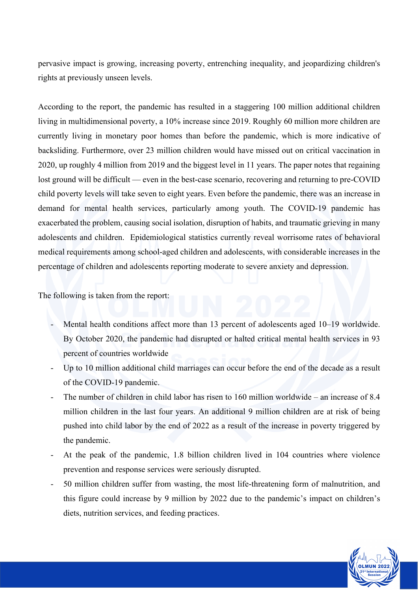pervasive impact is growing, increasing poverty, entrenching inequality, and jeopardizing children's rights at previously unseen levels.

According to the report, the pandemic has resulted in a staggering 100 million additional children living in multidimensional poverty, a 10% increase since 2019. Roughly 60 million more children are currently living in monetary poor homes than before the pandemic, which is more indicative of backsliding. Furthermore, over 23 million children would have missed out on critical vaccination in 2020, up roughly 4 million from 2019 and the biggest level in 11 years. The paper notes that regaining lost ground will be difficult — even in the best-case scenario, recovering and returning to pre-COVID child poverty levels will take seven to eight years. Even before the pandemic, there was an increase in demand for mental health services, particularly among youth. The COVID-19 pandemic has exacerbated the problem, causing social isolation, disruption of habits, and traumatic grieving in many adolescents and children. Epidemiological statistics currently reveal worrisome rates of behavioral medical requirements among school-aged children and adolescents, with considerable increases in the percentage of children and adolescents reporting moderate to severe anxiety and depression.

The following is taken from the report:

- Mental health conditions affect more than 13 percent of adolescents aged 10–19 worldwide. By October 2020, the pandemic had disrupted or halted critical mental health services in 93 percent of countries worldwide
- Up to 10 million additional child marriages can occur before the end of the decade as a result of the COVID-19 pandemic.
- The number of children in child labor has risen to 160 million worldwide an increase of 8.4 million children in the last four years. An additional 9 million children are at risk of being pushed into child labor by the end of 2022 as a result of the increase in poverty triggered by the pandemic.
- At the peak of the pandemic, 1.8 billion children lived in 104 countries where violence prevention and response services were seriously disrupted.
- 50 million children suffer from wasting, the most life-threatening form of malnutrition, and this figure could increase by 9 million by 2022 due to the pandemic's impact on children's diets, nutrition services, and feeding practices.

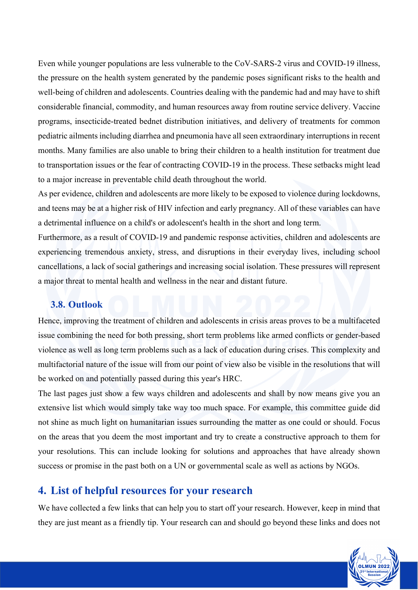Even while younger populations are less vulnerable to the CoV-SARS-2 virus and COVID-19 illness, the pressure on the health system generated by the pandemic poses significant risks to the health and well-being of children and adolescents. Countries dealing with the pandemic had and may have to shift considerable financial, commodity, and human resources away from routine service delivery. Vaccine programs, insecticide-treated bednet distribution initiatives, and delivery of treatments for common pediatric ailments including diarrhea and pneumonia have all seen extraordinary interruptions in recent months. Many families are also unable to bring their children to a health institution for treatment due to transportation issues or the fear of contracting COVID-19 in the process. These setbacks might lead to a major increase in preventable child death throughout the world.

As per evidence, children and adolescents are more likely to be exposed to violence during lockdowns, and teens may be at a higher risk of HIV infection and early pregnancy. All of these variables can have a detrimental influence on a child's or adolescent's health in the short and long term.

Furthermore, as a result of COVID-19 and pandemic response activities, children and adolescents are experiencing tremendous anxiety, stress, and disruptions in their everyday lives, including school cancellations, a lack of social gatherings and increasing social isolation. These pressures will represent a major threat to mental health and wellness in the near and distant future.

#### **3.8. Outlook**

Hence, improving the treatment of children and adolescents in crisis areas proves to be a multifaceted issue combining the need for both pressing, short term problems like armed conflicts or gender-based violence as well as long term problems such as a lack of education during crises. This complexity and multifactorial nature of the issue will from our point of view also be visible in the resolutions that will be worked on and potentially passed during this year's HRC.

The last pages just show a few ways children and adolescents and shall by now means give you an extensive list which would simply take way too much space. For example, this committee guide did not shine as much light on humanitarian issues surrounding the matter as one could or should. Focus on the areas that you deem the most important and try to create a constructive approach to them for your resolutions. This can include looking for solutions and approaches that have already shown success or promise in the past both on a UN or governmental scale as well as actions by NGOs.

## **4. List of helpful resources for your research**

We have collected a few links that can help you to start off your research. However, keep in mind that they are just meant as a friendly tip. Your research can and should go beyond these links and does not

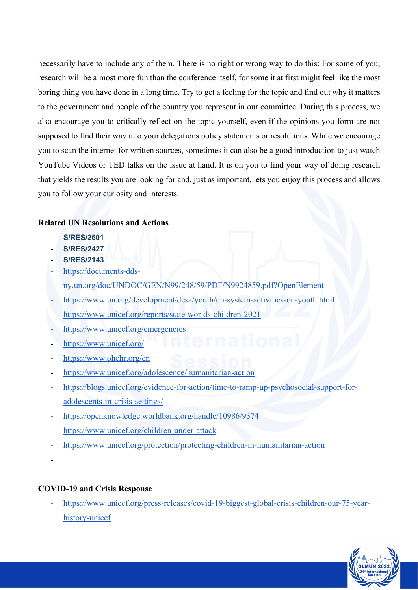necessarily have to include any of them. There is no right or wrong way to do this: For some of you, research will be almost more fun than the conference itself, for some it at first might feel like the most boring thing you have done in a long time. Try to get a feeling for the topic and find out why it matters to the government and people of the country you represent in our committee. During this process, we also encourage you to critically reflect on the topic yourself, even if the opinions you form are not supposed to find their way into your delegations policy statements or resolutions. While we encourage you to scan the internet for written sources, sometimes it can also be a good introduction to just watch YouTube Videos or TED talks on the issue at hand. It is on you to find your way of doing research that yields the results you are looking for and, just as important, lets you enjoy this process and allows you to follow your curiosity and interests.

#### **Related UN Resolutions and Actions**

- **S/RES/2601**
- **S/RES/2427**
- **S/RES/2143**
- https://documents-ddsny.un.org/doc/UNDOC/GEN/N99/248/59/PDF/N9924859.pdf?OpenElement
- https://www.un.org/development/desa/youth/un-system-activities-on-youth.html
- https://www.unicef.org/reports/state-worlds-children-2021
- https://www.unicef.org/emergencies
- https://www.unicef.org/
- https://www.ohchr.org/en
- https://www.unicef.org/adolescence/humanitarian-action
- https://blogs.unicef.org/evidence-for-action/time-to-ramp-up-psychosocial-support-foradolescents-in-crisis-settings/
- https://openknowledge.worldbank.org/handle/10986/9374
- https://www.unicef.org/children-under-attack
- https://www.unicef.org/protection/protecting-children-in-humanitarian-action
- -

#### **COVID-19 and Crisis Response**

- https://www.unicef.org/press-releases/covid-19-biggest-global-crisis-children-our-75-yearhistory-unicef

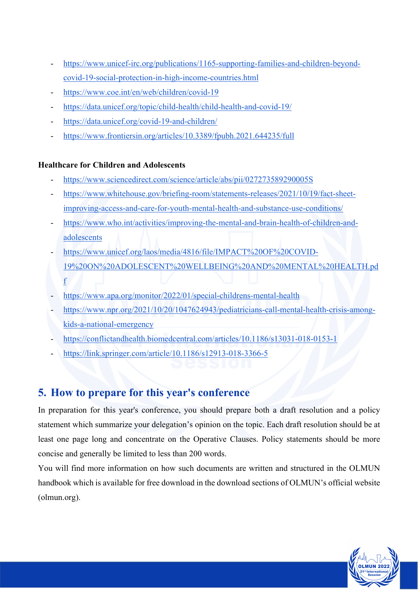- https://www.unicef-irc.org/publications/1165-supporting-families-and-children-beyondcovid-19-social-protection-in-high-income-countries.html
- https://www.coe.int/en/web/children/covid-19
- https://data.unicef.org/topic/child-health/child-health-and-covid-19/
- https://data.unicef.org/covid-19-and-children/
- https://www.frontiersin.org/articles/10.3389/fpubh.2021.644235/full

#### **Healthcare for Children and Adolescents**

- https://www.sciencedirect.com/science/article/abs/pii/027273589290005S
- https://www.whitehouse.gov/briefing-room/statements-releases/2021/10/19/fact-sheetimproving-access-and-care-for-youth-mental-health-and-substance-use-conditions/
- https://www.who.int/activities/improving-the-mental-and-brain-health-of-children-andadolescents
- https://www.unicef.org/laos/media/4816/file/IMPACT%20OF%20COVID-19%20ON%20ADOLESCENT%20WELLBEING%20AND%20MENTAL%20HEALTH.pd f
- https://www.apa.org/monitor/2022/01/special-childrens-mental-health
- https://www.npr.org/2021/10/20/1047624943/pediatricians-call-mental-health-crisis-amongkids-a-national-emergency
- https://conflictandhealth.biomedcentral.com/articles/10.1186/s13031-018-0153-1
- https://link.springer.com/article/10.1186/s12913-018-3366-5

# **5. How to prepare for this year's conference**

In preparation for this year's conference, you should prepare both a draft resolution and a policy statement which summarize your delegation's opinion on the topic. Each draft resolution should be at least one page long and concentrate on the Operative Clauses. Policy statements should be more concise and generally be limited to less than 200 words.

You will find more information on how such documents are written and structured in the OLMUN handbook which is available for free download in the download sections of OLMUN's official website (olmun.org).

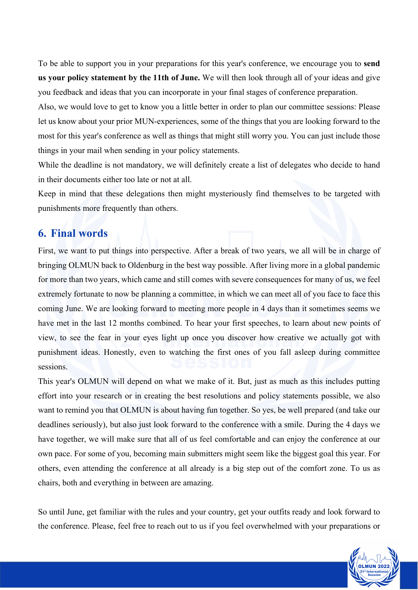To be able to support you in your preparations for this year's conference, we encourage you to **send us your policy statement by the 11th of June.** We will then look through all of your ideas and give you feedback and ideas that you can incorporate in your final stages of conference preparation.

Also, we would love to get to know you a little better in order to plan our committee sessions: Please let us know about your prior MUN-experiences, some of the things that you are looking forward to the most for this year's conference as well as things that might still worry you. You can just include those things in your mail when sending in your policy statements.

While the deadline is not mandatory, we will definitely create a list of delegates who decide to hand in their documents either too late or not at all.

Keep in mind that these delegations then might mysteriously find themselves to be targeted with punishments more frequently than others.

#### **6. Final words**

First, we want to put things into perspective. After a break of two years, we all will be in charge of bringing OLMUN back to Oldenburg in the best way possible. After living more in a global pandemic for more than two years, which came and still comes with severe consequences for many of us, we feel extremely fortunate to now be planning a committee, in which we can meet all of you face to face this coming June. We are looking forward to meeting more people in 4 days than it sometimes seems we have met in the last 12 months combined. To hear your first speeches, to learn about new points of view, to see the fear in your eyes light up once you discover how creative we actually got with punishment ideas. Honestly, even to watching the first ones of you fall asleep during committee sessions.

This year's OLMUN will depend on what we make of it. But, just as much as this includes putting effort into your research or in creating the best resolutions and policy statements possible, we also want to remind you that OLMUN is about having fun together. So yes, be well prepared (and take our deadlines seriously), but also just look forward to the conference with a smile. During the 4 days we have together, we will make sure that all of us feel comfortable and can enjoy the conference at our own pace. For some of you, becoming main submitters might seem like the biggest goal this year. For others, even attending the conference at all already is a big step out of the comfort zone. To us as chairs, both and everything in between are amazing.

So until June, get familiar with the rules and your country, get your outfits ready and look forward to the conference. Please, feel free to reach out to us if you feel overwhelmed with your preparations or